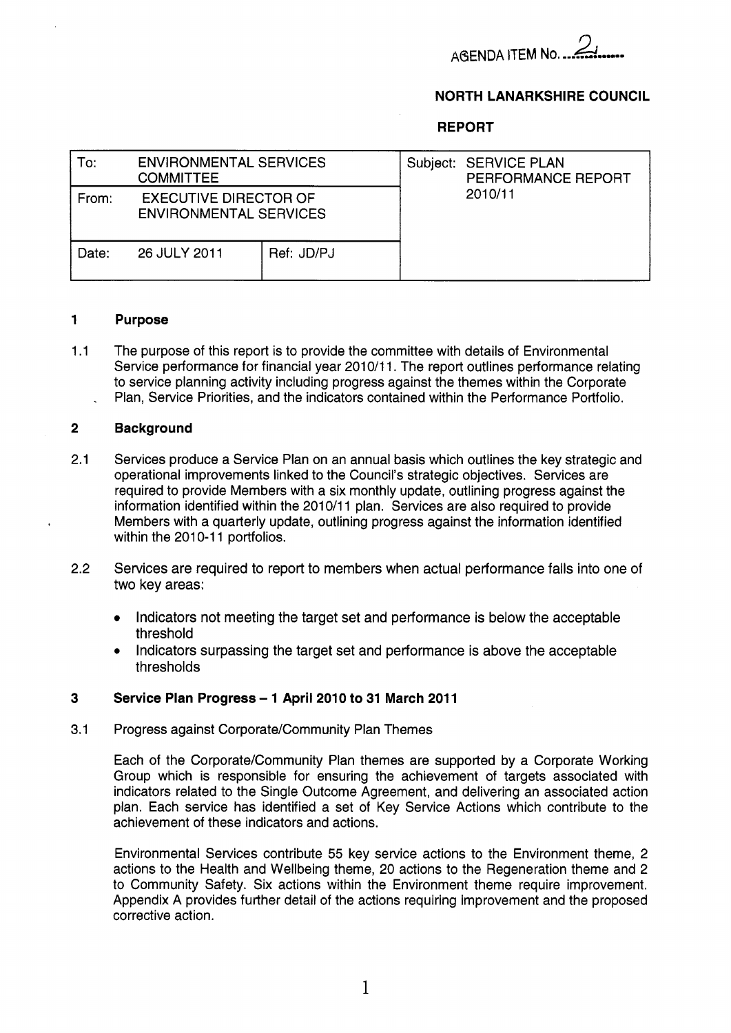

### **NORTH LANARKSHIRE COUNCIL**

#### **REPORT**

| To:   | <b>ENVIRONMENTAL SERVICES</b><br><b>COMMITTEE</b>      |  | Subject: SERVICE PLAN<br>PERFORMANCE REPORT |  |  |
|-------|--------------------------------------------------------|--|---------------------------------------------|--|--|
| From: | <b>EXECUTIVE DIRECTOR OF</b><br>ENVIRONMENTAL SERVICES |  | 2010/11                                     |  |  |
| Date: | Ref: JD/PJ<br>26 JULY 2011                             |  |                                             |  |  |

#### **1 Purpose**

1.1 The purpose of this report is to provide the committee with details of Environmental Service performance for financial year 2010/11. The report outlines performance relating to service planning activity including progress against the themes within the Corporate Plan, Service Priorities, and the indicators contained within the Performance Portfolio.

#### **2 Background**

- 2.1 Services produce a Service Plan on an annual basis which outlines the key strategic and operational improvements linked to the Council's strategic objectives. Services are required to provide Members with a six monthly update, outlining progress against the information identified within the 2010/11 plan. Services are also required to provide Members with a quarterly update, outlining progress against the information identified within the 2010-11 portfolios.
- 2.2 Services are required to report to members when actual performance falls into one of two key areas:
	- Indicators not meeting the target set and performance is below the acceptable  $\bullet$ threshold
	- Indicators surpassing the target set and performance is above the acceptable thresholds

#### **3 Service Plan Progress** - **1 April 2010 to 31 March 201 1**

#### 3.1 Progress against Corporate/Community Plan Themes

Each of the Corporate/Community Plan themes are supported by a Corporate Working Group which is responsible for ensuring the achievement of targets associated with indicators related to the Single Outcome Agreement, and delivering an associated action plan. Each service has identified a set of Key Service Actions which contribute to the achievement of these indicators and actions.

Environmental Services contribute *55* key service actions to the Environment theme, 2 actions to the Health and Wellbeing theme, 20 actions to the Regeneration theme and 2 to Community Safety. Six actions within the Environment theme require improvement. Appendix A provides further detail of the actions requiring improvement and the proposed corrective action.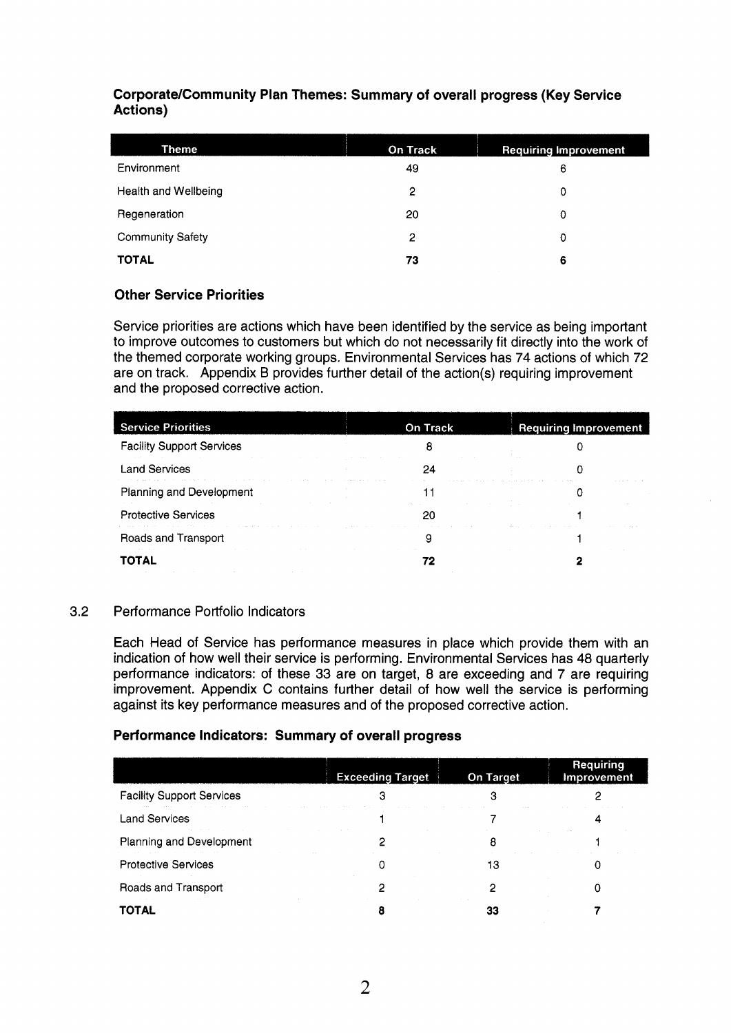# **Corporate/Community Plan Themes: Summary of overall progress (Key Service Actions)**

| <b>Theme</b>            | <b>On Track</b> | <b>Requiring Improvement</b> |
|-------------------------|-----------------|------------------------------|
| Environment             | 49              | 6                            |
| Health and Wellbeing    | 2               | 0                            |
| Regeneration            | 20              | 0                            |
| <b>Community Safety</b> | 2               | 0                            |
| <b>TOTAL</b>            | 73              | 6                            |

# **Other Service Priorities**

Service priorities are actions which have been identified by the service as being important to improve outcomes to customers but which do not necessarily fit directly into the work of the themed corporate working groups. Environmental Services has 74 actions of which 72 are **on** track. Appendix B provides further detail of the action(s) requiring improvement and the proposed corrective action.

| <b>Service Priorities</b>                                                                                                                                                                                                                                         | <b>On Track</b>                                                                                                | <b>Requiring Improvement</b>                                                                        |
|-------------------------------------------------------------------------------------------------------------------------------------------------------------------------------------------------------------------------------------------------------------------|----------------------------------------------------------------------------------------------------------------|-----------------------------------------------------------------------------------------------------|
| <b>Facility Support Services</b><br>the control of the control of the control of the control of the control of the control of the control of the control of the control of the control of the control of the control of the control of the control of the control |                                                                                                                |                                                                                                     |
| <b>Land Services</b><br>the contract of the contract of the contract of the con-                                                                                                                                                                                  |                                                                                                                |                                                                                                     |
| Planning and Development<br>the control of the control of the control of the control of the control of the control of                                                                                                                                             | the company's company's company's                                                                              | the contract of the contract of the contract of the contract of the contract of the contract of the |
| <b>Protective Services</b>                                                                                                                                                                                                                                        | 10 Andrew Stevens Andrew Stevens Andrew Stevens Andrew Stevens Andrew Stevens Andrew Stevens Andrew Stevens An |                                                                                                     |
| the model and a construction of the constant of the property of the constant of the constant of the constant of the constant<br>Roads and Transport                                                                                                               |                                                                                                                |                                                                                                     |
| the activities of the control of the control of the control of the control of the control of the control of the<br>TOTAL                                                                                                                                          |                                                                                                                |                                                                                                     |

### 3.2 Performance Portfolio Indicators

Each Head of Service has performance measures in place which provide them with an indication of how well their service is performing. Environmental Services has **48** quarterly performance indicators: of these 33 are on target, 8 are exceeding and 7 are requiring improvement. Appendix C contains further detail of how well the service is performing against its key performance measures and of the proposed corrective action.

### **Performance Indicators: Summary** *of* **overall progress**

|                                                                                                                                                                                                                                                                    | <b>Exceeding Target</b>                                                         | <b>On Target</b>                                                                                               | Requiring<br>Improvement |
|--------------------------------------------------------------------------------------------------------------------------------------------------------------------------------------------------------------------------------------------------------------------|---------------------------------------------------------------------------------|----------------------------------------------------------------------------------------------------------------|--------------------------|
| <b>Facility Support Services</b><br>the second control of the second control of the second control of the second control of the second control of the second control of the second control of the second control of the second control of the second control of th | the contract of the contract of the contract of the contract of the contract of | 1. 그 그 사람은 그 사람들은 그 사람들은 그 사람들은 그 사람들을 만들고 있다. 그 사람들은 그 사람들은 그 사람들은 그 사람들을 만들고 있다. 이 사람들은 그 사람들은 그 사람들은 그 사람들을 |                          |
| <b>Land Services</b><br>the control of the control of the control of the control of the control of the control of the control of the control of the control of the control of the control of the control of the control of the control of the control              |                                                                                 |                                                                                                                |                          |
| Planning and Development                                                                                                                                                                                                                                           |                                                                                 | the control of the control of the control of the control of the                                                |                          |
| the second contract of the contract of the contract of the contract of the contract of the contract of the contract of the contract of the contract of the contract of the contract of the contract of the contract of the con<br><b>Protective Services</b>       |                                                                                 |                                                                                                                |                          |
| Roads and Transport                                                                                                                                                                                                                                                |                                                                                 |                                                                                                                |                          |
| the contract of the contract of the contract of the contract of<br>the contract of the con-                                                                                                                                                                        |                                                                                 | the contract of the contract of                                                                                |                          |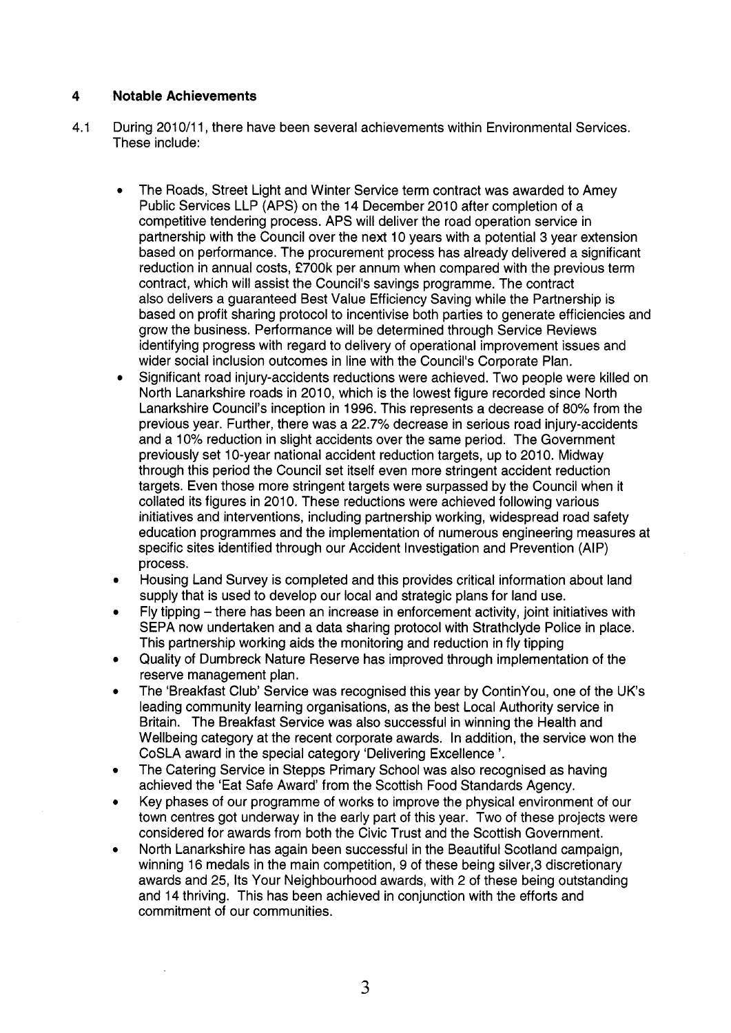### **4 Notable Achievements**

- 4.1 During 2010/11, there have been several achievements within Environmental Services. These include:
	- **a**  The Roads, Street Light and Winter Service term contract was awarded to Amey Public Services LLP (APS) on the 14 December 2010 after completion of a competitive tendering process. APS will deliver the road operation service in partnership with the Council over the next 10 years with a potential 3 year extension based on performance. The procurement process has already delivered a significant reduction in annual costs, £700k per annum when compared with the previous term contract, which will assist the Council's savings programme. The contract also delivers a guaranteed Best Value Efficiency Saving while the Partnership is based on profit sharing protocol to incentivise both parties to generate efficiencies and grow the business. Performance will be determined through Service Reviews identifying progress with regard to delivery of operational improvement issues and wider social inclusion outcomes in line with the Council's Corporate Plan.
	- **a**  Significant road injury-accidents reductions were achieved. Two people were killed on North Lanarkshire roads in 2010, which is the lowest figure recorded since North Lanarkshire Council's inception in 1996. This represents a decrease of **80%** from the previous year. Further, there was a 22.7% decrease in serious road injury-accidents and a 10% reduction in slight accidents over the same period. The Government previously set 10-year national accident reduction targets, up to 2010. Midway through this period the Council set itself even more stringent accident reduction targets. Even those more stringent targets were surpassed by the Council when it collated its figures in 2010. These reductions were achieved following various initiatives and interventions, including partnership working, widespread road safety education programmes and the implementation of numerous engineering measures at specific sites identified through our Accident Investigation and Prevention (AIP) process.
	- **a**  Housing Land Survey is completed and this provides critical information about land supply that is used to develop our local and strategic plans for land use.
	- **a**  Fly tipping  $-$  there has been an increase in enforcement activity, joint initiatives with SEPA now undertaken and a data sharing protocol with Strathclyde Police in place. This partnership working aids the monitoring and reduction in fly tipping
	- **a**  Quality of Dumbreck Nature Reserve has improved through implementation of the reserve management plan.
	- **a**  The 'Breakfast Club' Service was recognised this year by ContinYou, one of the UK's leading community learning organisations, as the best Local Authority service in Britain. The Breakfast Service was also successful in winning the Health and Wellbeing category at the recent corporate awards. In addition, the service won the CoSLA award in the special category 'Delivering Excellence'.
	- **a**  The Catering Service in Stepps Primary School was also recognised as having achieved the 'Eat Safe Award' from the Scottish Food Standards Agency.
	- **a**  Key phases of our programme of works to improve the physical environment of our town centres got underway in the early part of this year. Two of these projects were considered for awards from both the Civic Trust and the Scottish Government.
	- **a**  North Lanarkshire has again been successful in the Beautiful Scotland campaign, winning 16 medals in the main competition, 9 of these being silver,3 discretionary awards and 25, Its Your Neighbourhood awards, with 2 of these being outstanding and 14 thriving. This has been achieved in conjunction with the efforts and commitment of our communities.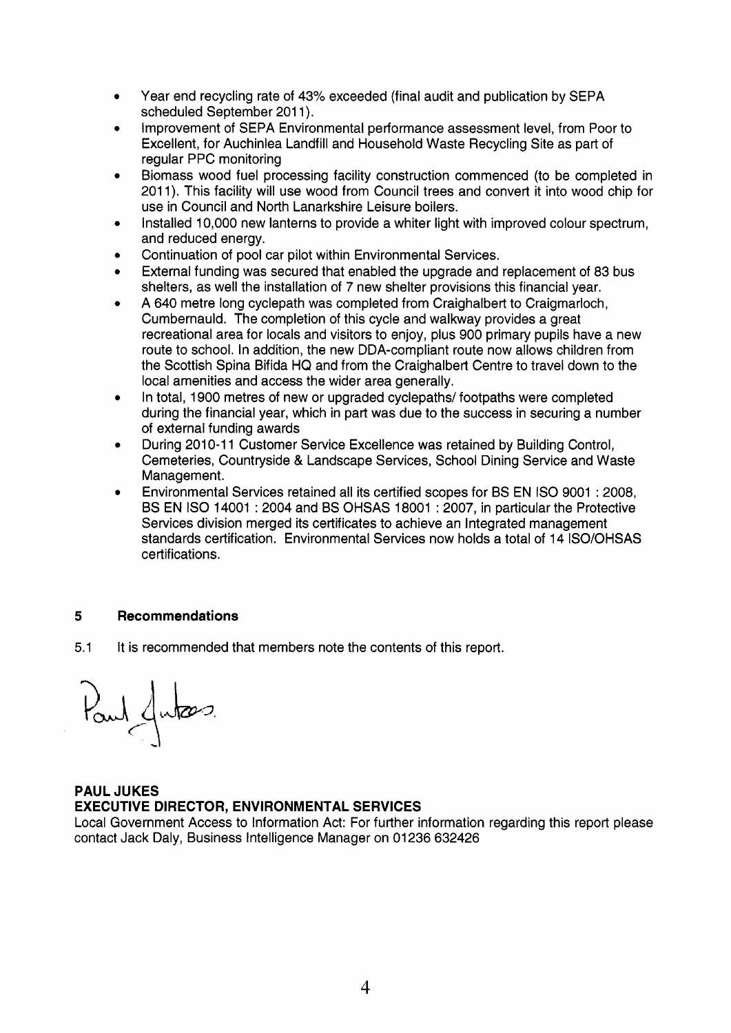- Year end recycling rate of 43% exceeded (final audit and publication by SEPA scheduled September 201 1).
- Improvement of SEPA Environmental performance assessment level, from Poor to Excellent, for Auchinlea Landfill and Household Waste Recycling Site as part of regular PPC monitoring
- Biomass wood fuel processing facility construction commenced (to be completed in 2011). This facility will use wood from Council trees and convert it into wood chip for use in Council and North Lanarkshire Leisure boilers.
- Installed 10,000 new lanterns to provide a whiter light with improved colour spectrum, and reduced energy.
- Continuation of pool car pilot within Environmental Services.
- External funding was secured that enabled the upgrade and replacement of 83 bus shelters, as well the installation of 7 new shelter provisions this financial year.
- A 640 metre long cyclepath was completed from Craighalbert to Craigmarloch, Cumbernauld. The completion of this cycle and walkway provides a great recreational area for locals and visitors to enjoy, plus 900 primary pupils have a new route to school. In addition, the new DDA-compliant route now allows children from the Scottish Spina Bifida HQ and from the Craighalbert Centre to travel down to the local amenities and access the wider area generally.
- In total, 1900 metres of new or upgraded cyclepaths/ footpaths were completed during the financial year, which in part was due to the success in securing a number of external funding awards
- During 2010-1 1 Customer Service Excellence was retained by Building Control, Cemeteries, Countryside & Landscape Services, School Dining Service and Waste Management.
- Environmental Services retained all its certified scopes for BS EN IS0 9001 : 2008, BS EN IS0 14001 : 2004 and BS OHSAS 18001 : 2007, in particular the Protective Services division merged its certificates to achieve an Integrated management standards certification. Environmental Services now holds a total of 14 ISO/OHSAS certifications.

# **5 Recommendations**

5.1 It is recommended that members note the contents of this report.

Paul Jutas

# **PAUL JUKES EXECUTIVE DIRECTOR, ENVIRONMENTAL SERVICES**

Local Government Access to Information Act: For further information regarding this report please contact Jack Daly, Business Intelligence Manager on 01236 632426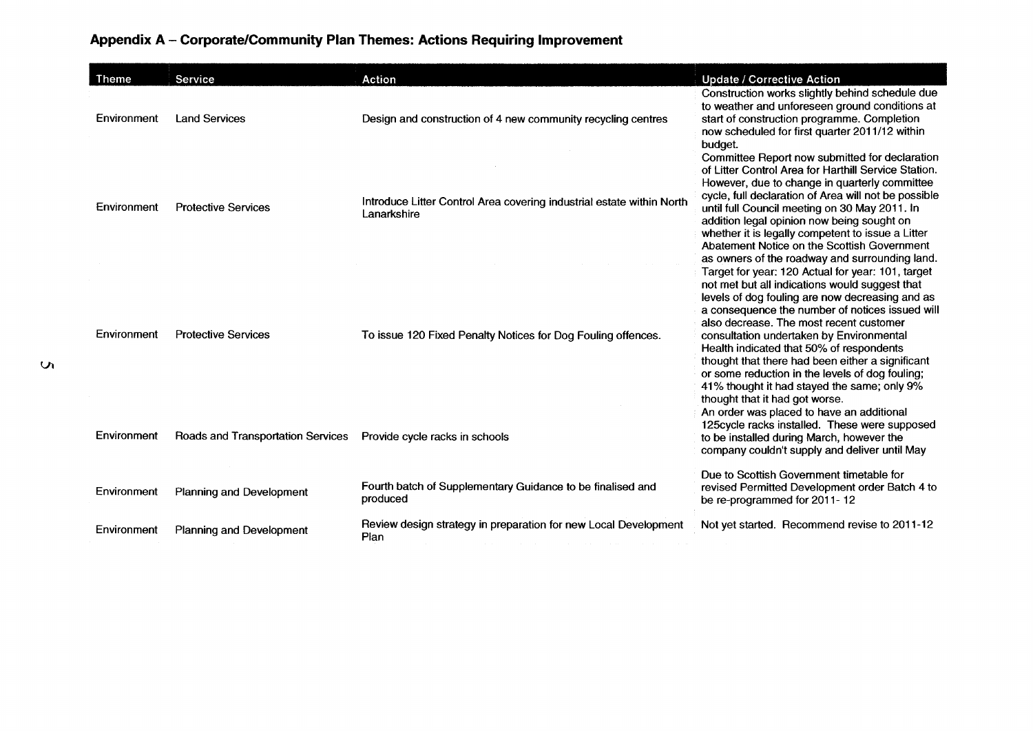# Appendix A - Corporate/Community Plan Themes: Actions Requiring Improvement

| <b>Theme</b> | Service                           | Action                                                                               | <b>Update / Corrective Action</b>                                                                                                                                                                                                                                                                                                                                                                                                                                                                                                    |
|--------------|-----------------------------------|--------------------------------------------------------------------------------------|--------------------------------------------------------------------------------------------------------------------------------------------------------------------------------------------------------------------------------------------------------------------------------------------------------------------------------------------------------------------------------------------------------------------------------------------------------------------------------------------------------------------------------------|
| Environment  | <b>Land Services</b>              | Design and construction of 4 new community recycling centres                         | Construction works slightly behind schedule due<br>to weather and unforeseen ground conditions at<br>start of construction programme. Completion<br>now scheduled for first quarter 2011/12 within<br>budget.                                                                                                                                                                                                                                                                                                                        |
| Environment  | <b>Protective Services</b>        | Introduce Litter Control Area covering industrial estate within North<br>Lanarkshire | Committee Report now submitted for declaration<br>of Litter Control Area for Harthill Service Station.<br>However, due to change in quarterly committee<br>cycle, full declaration of Area will not be possible<br>until full Council meeting on 30 May 2011. In<br>addition legal opinion now being sought on<br>whether it is legally competent to issue a Litter<br>Abatement Notice on the Scottish Government<br>as owners of the roadway and surrounding land.                                                                 |
| Environment  | <b>Protective Services</b>        | To issue 120 Fixed Penalty Notices for Dog Fouling offences.                         | Target for year: 120 Actual for year: 101, target<br>not met but all indications would suggest that<br>levels of dog fouling are now decreasing and as<br>a consequence the number of notices issued will<br>also decrease. The most recent customer<br>consultation undertaken by Environmental<br>Health indicated that 50% of respondents<br>thought that there had been either a significant<br>or some reduction in the levels of dog fouling;<br>41% thought it had stayed the same; only 9%<br>thought that it had got worse. |
| Environment  | Roads and Transportation Services | Provide cycle racks in schools                                                       | An order was placed to have an additional<br>125cycle racks installed. These were supposed<br>to be installed during March, however the<br>company couldn't supply and deliver until May                                                                                                                                                                                                                                                                                                                                             |
| Environment  | <b>Planning and Development</b>   | Fourth batch of Supplementary Guidance to be finalised and<br>produced               | Due to Scottish Government timetable for<br>revised Permitted Development order Batch 4 to<br>be re-programmed for 2011-12                                                                                                                                                                                                                                                                                                                                                                                                           |
| Environment  | Planning and Development          | Review design strategy in preparation for new Local Development<br>Plan              | Not yet started. Recommend revise to 2011-12                                                                                                                                                                                                                                                                                                                                                                                                                                                                                         |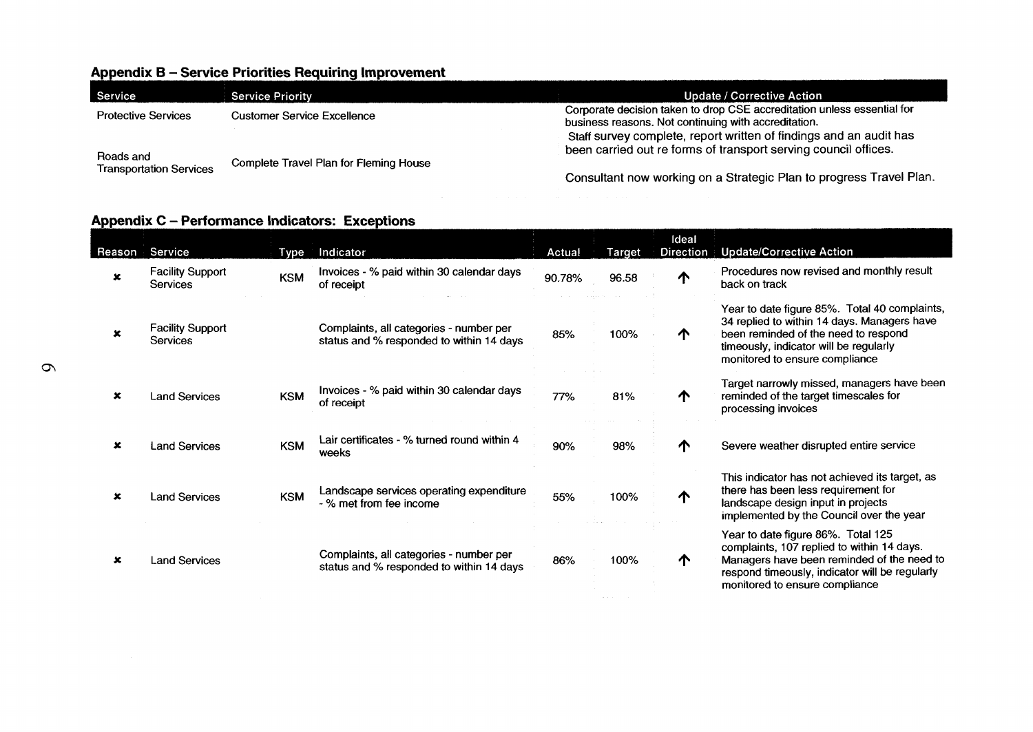# Appendix B - Service Priorities Requiring Improvement

| Service                                     | <b>Service Priority</b>                | Update / Corrective Action                                                                                                      |
|---------------------------------------------|----------------------------------------|---------------------------------------------------------------------------------------------------------------------------------|
| <b>Protective Services</b>                  | Customer Service Excellence            | Corporate decision taken to drop CSE accreditation unless essential for<br>business reasons. Not continuing with accreditation. |
|                                             |                                        | Staff survey complete, report written of findings and an audit has                                                              |
| Roads and<br><b>Transportation Services</b> | Complete Travel Plan for Fleming House | been carried out re forms of transport serving council offices.                                                                 |
|                                             |                                        | Consultant now working on a Strategic Plan to progress Travel Plan.                                                             |

### Appendix C - Performance Indicators: Exceptions

|             | Appendix C - Performance Indicators: Exceptions |            |                                                                                     |        |               |                    |                                                                                                                                                                                                                    |  |
|-------------|-------------------------------------------------|------------|-------------------------------------------------------------------------------------|--------|---------------|--------------------|--------------------------------------------------------------------------------------------------------------------------------------------------------------------------------------------------------------------|--|
| Reason      | Service                                         | Type       | Indicator                                                                           | Actual | <b>Target</b> | Ideal<br>Direction | <b>Update/Corrective Action</b>                                                                                                                                                                                    |  |
| ×           | <b>Facility Support</b><br><b>Services</b>      | <b>KSM</b> | Invoices - % paid within 30 calendar days<br>of receipt                             | 90.78% | 96.58         | ↑                  | Procedures now revised and monthly result<br>back on track                                                                                                                                                         |  |
| $\mathbf x$ | <b>Facility Support</b><br><b>Services</b>      |            | Complaints, all categories - number per<br>status and % responded to within 14 days | 85%    | 100%          | ∧                  | Year to date figure 85%. Total 40 complaints,<br>34 replied to within 14 days. Managers have<br>been reminded of the need to respond<br>timeously, indicator will be regularly<br>monitored to ensure compliance   |  |
| ×           | <b>Land Services</b>                            | <b>KSM</b> | Invoices - % paid within 30 calendar days<br>of receipt                             | 77%    | 81%           | ́Ѧ                 | Target narrowly missed, managers have been<br>reminded of the target timescales for<br>processing invoices                                                                                                         |  |
| x           | <b>Land Services</b>                            | <b>KSM</b> | Lair certificates - % turned round within 4<br>weeks                                | 90%    | 98%           | ́↑                 | Severe weather disrupted entire service                                                                                                                                                                            |  |
| ×           | <b>Land Services</b>                            | <b>KSM</b> | Landscape services operating expenditure<br>- % met from fee income                 | 55%    | 100%          | ∧                  | This indicator has not achieved its target, as<br>there has been less requirement for<br>landscape design input in projects<br>implemented by the Council over the year                                            |  |
| ×           | <b>Land Services</b>                            |            | Complaints, all categories - number per<br>status and % responded to within 14 days | 86%    | 100%          | ↑                  | Year to date figure 86%. Total 125<br>complaints, 107 replied to within 14 days.<br>Managers have been reminded of the need to<br>respond timeously, indicator will be regularly<br>monitored to ensure compliance |  |